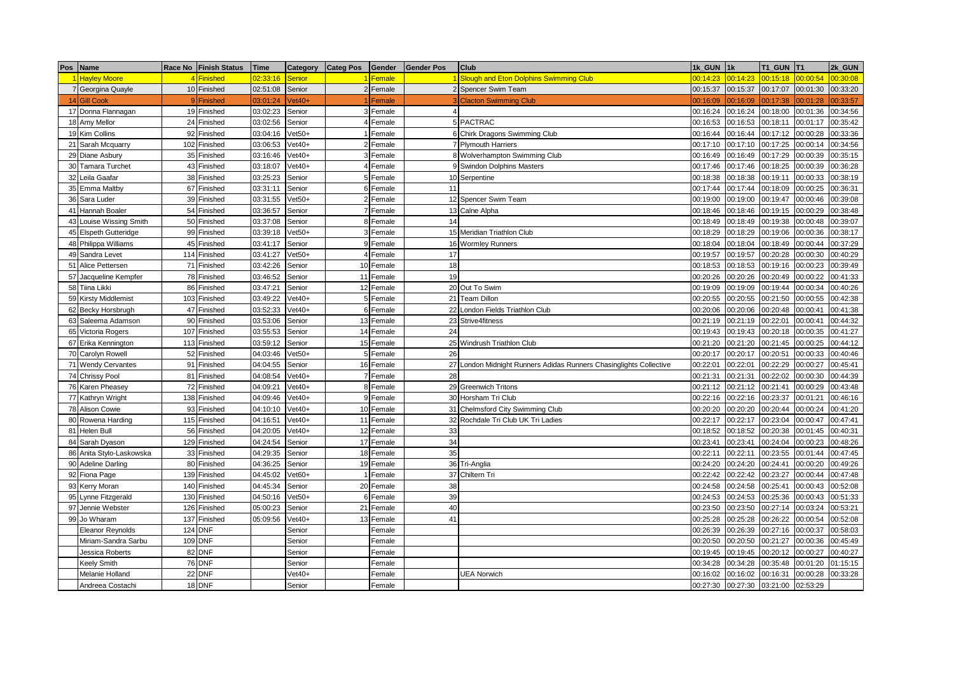|    | Pos Name                | Race No Finish Status | Time     | Category | <b>Categ Pos</b> | Gender    | <b>Gender Pos</b> | Club                                                               | 1k GUN   | 11k      | T1 GUN   | IT <sub>1</sub> | 2k GUN   |
|----|-------------------------|-----------------------|----------|----------|------------------|-----------|-------------------|--------------------------------------------------------------------|----------|----------|----------|-----------------|----------|
|    | <b>Hayley Moore</b>     | 4 Finished            | 02:33:16 | Senior   |                  | I Female  |                   | Slough and Eton Dolphins Swimming Club                             | 00:14:23 | 00:14:23 | 00:15:18 | 00:00:54        | 00:30:08 |
|    | 7 Georgina Quayle       | 10 Finished           | 02:51:08 | Senior   |                  | 2 Female  |                   | 2 Spencer Swim Team                                                | 00:15:37 | 00:15:37 | 00:17:07 | 00:01:30        | 00:33:20 |
|    | 14 Gill Cook            | 9 Finished            | 03:01:24 | $/et40+$ |                  | Female    |                   | 3 Clacton Swimming Club                                            | 00:16:09 | 00:16:09 | 00:17:38 | 00:01:28        | 0:33:57  |
|    | 17 Donna Flannagan      | 19 Finished           | 03:02:23 | Senior   |                  | 3 Female  |                   |                                                                    | 00:16:24 | 00:16:24 | 00:18:00 | 00:01:36        | 00:34:56 |
|    | 18 Amy Mellor           | 24 Finished           | 03:02:56 | Senior   |                  | 4 Female  |                   | 5 PACTRAC                                                          | 00:16:53 | 00:16:53 | 00:18:11 | 00:01:17        | 00:35:42 |
|    | 19 Kim Collins          | 92 Finished           | 03:04:16 | $Vet50+$ |                  | 1 Female  |                   | 6 Chirk Dragons Swimming Club                                      | 00:16:44 | 00:16:44 | 00:17:12 | 00:00:28        | 00:33:36 |
| 21 | Sarah Mcquarry          | 102 Finished          | 03:06:53 | $Vet40+$ |                  | 2 Female  |                   | 7 Plymouth Harriers                                                | 00:17:10 | 00:17:10 | 00:17:25 | 00:00:14        | 00:34:56 |
|    | 29 Diane Asbury         | 35 Finished           | 03:16:46 | $Vet40+$ |                  | 3 Female  |                   | 8 Wolverhampton Swimming Club                                      | 00:16:49 | 00:16:49 | 00:17:29 | 00:00:39        | 00:35:15 |
|    | 30 Tamara Turchet       | 43 Finished           | 03:18:07 | $Vet40+$ |                  | 4 Female  |                   | 9 Swindon Dolphins Masters                                         | 00:17:46 | 00:17:46 | 00:18:25 | 00:00:39        | 00:36:28 |
| 32 | Leila Gaafar            | 38 Finished           | 03:25:23 | Senior   |                  | 5 Female  |                   | 10 Serpentine                                                      | 00:18:38 | 00:18:38 | 00:19:11 | 00:00:33        | 00:38:19 |
|    | 35 Emma Maltby          | 67 Finished           | 03:31:11 | Senior   |                  | 6 Female  | 11                |                                                                    | 00:17:44 | 00:17:44 | 00:18:09 | 00:00:25        | 00:36:31 |
| 36 | Sara Luder              | 39 Finished           | 03:31:55 | $Vet50+$ |                  | 2 Female  |                   | 12 Spencer Swim Team                                               | 00:19:00 | 00:19:00 | 00:19:47 | 00:00:46        | 00:39:08 |
| 41 | Hannah Boaler           | 54 Finished           | 03:36:57 | Senior   |                  | 7 Female  |                   | 13 Calne Alpha                                                     | 00:18:46 | 00:18:46 | 00:19:15 | 00:00:29        | 00:38:48 |
| 43 | Louise Wissing Smith    | 50 Finished           | 03:37:08 | Senior   |                  | 8 Female  | 14                |                                                                    | 00:18:49 | 00:18:49 | 00:19:38 | 00:00:48        | 00:39:07 |
|    | 45 Elspeth Gutteridge   | 99 Finished           | 03:39:18 | $Vet50+$ |                  | 3 Female  |                   | 15 Meridian Triathlon Club                                         | 00:18:29 | 00:18:29 | 00:19:06 | 00:00:36        | 00:38:17 |
|    | 48 Philippa Williams    | 45 Finished           | 03:41:17 | Senior   |                  | 9 Female  |                   | 16 Wormley Runners                                                 | 00:18:04 | 00:18:04 | 00:18:49 | 00:00:44        | 00:37:29 |
|    | 49 Sandra Levet         | 114 Finished          | 03:41:27 | $Vet50+$ |                  | 4 Female  | 17                |                                                                    | 00:19:57 | 00:19:57 | 00:20:28 | 00:00:30        | 00:40:29 |
| 51 | Alice Pettersen         | 71 Finished           | 03:42:26 | Senior   |                  | 10 Female | 18                |                                                                    | 00:18:53 | 00:18:53 | 00:19:16 | 00:00:23        | 00:39:49 |
| 57 | Jacqueline Kempfer      | 78 Finished           | 03:46:52 | Senior   |                  | 11 Female | 19                |                                                                    | 00:20:26 | 00:20:26 | 00:20:49 | 00:00:22        | 00:41:33 |
|    | 58 Tiina Likki          | 86 Finished           | 03:47:21 | Senior   |                  | 12 Female |                   | 20 Out To Swim                                                     | 00:19:09 | 00:19:09 | 00:19:44 | 00:00:34        | 00:40:26 |
|    | 59 Kirsty Middlemist    | 103 Finished          | 03:49:22 | $Vet40+$ |                  | 5 Female  | 21                | <b>Team Dillon</b>                                                 | 00:20:55 | 00:20:55 | 00:21:50 | 00:00:55        | 00:42:38 |
|    | 62 Becky Horsbrugh      | 47 Finished           | 03:52:33 | $Vet40+$ |                  | 6 Female  |                   | 22 London Fields Triathlon Club                                    | 00:20:06 | 00:20:06 | 00:20:48 | 00:00:41        | 00:41:38 |
| 63 | Saleema Adamson         | 90 Finished           | 03:53:06 | Senior   |                  | 13 Female |                   | 23 Strive4fitness                                                  | 00:21:19 | 00:21:19 | 00:22:01 | 00:00:41        | 00:44:32 |
|    | 65 Victoria Rogers      | 107 Finished          | 03:55:53 | Senior   |                  | 14 Female | 24                |                                                                    | 00:19:43 | 00:19:43 | 00:20:18 | 00:00:35        | 00:41:27 |
|    | 67 Erika Kennington     | 113 Finished          | 03:59:12 | Senior   |                  | 15 Female |                   | 25 Windrush Triathlon Club                                         | 00:21:20 | 00:21:20 | 00:21:45 | 00:00:25        | 00:44:12 |
|    | 70 Carolyn Rowell       | 52 Finished           | 04:03:46 | $Vet50+$ |                  | 5 Female  | 26                |                                                                    | 00:20:17 | 00:20:17 | 00:20:51 | 00:00:33        | 00:40:46 |
| 71 | <b>Wendy Cervantes</b>  | 91 Finished           | 04:04:55 | Senior   |                  | 16 Female |                   | 27 London Midnight Runners Adidas Runners Chasinglights Collective | 00:22:01 | 00:22:01 | 00:22:29 | 00:00:27        | 00:45:41 |
| 74 | Chrissy Pool            | 81 Finished           | 04:08:54 | $Vet40+$ |                  | 7 Female  | 28                |                                                                    | 00:21:31 | 00:21:31 | 00:22:02 | 00:00:30        | 00:44:39 |
|    | 76 Karen Pheasey        | 72 Finished           | 04:09:21 | $Vet40+$ |                  | 8 Female  |                   | 29 Greenwich Tritons                                               | 00:21:12 | 00:21:12 | 00:21:41 | 00:00:29        | 00:43:48 |
| 77 | Kathryn Wright          | 138 Finished          | 04:09:46 | $Vet40+$ |                  | 9 Female  |                   | 30 Horsham Tri Club                                                | 00:22:16 | 00:22:16 | 00:23:37 | 00:01:21        | 00:46:16 |
| 78 | <b>Alison Cowie</b>     | 93 Finished           | 04:10:10 | $Vet40+$ |                  | 10 Female |                   | 31 Chelmsford City Swimming Club                                   | 00:20:20 | 00:20:20 | 00:20:44 | 00:00:24        | 00:41:20 |
| 80 | Rowena Harding          | 115 Finished          | 04:16:51 | $Vet40+$ |                  | 11 Female |                   | 32 Rochdale Tri Club UK Tri Ladies                                 | 00:22:17 | 00:22:17 | 00:23:04 | 00:00:47        | 00:47:41 |
| 81 | Helen Bull              | 56 Finished           | 04:20:05 | $Vet40+$ |                  | 12 Female | 33                |                                                                    | 00:18:52 | 00:18:52 | 00:20:38 | 00:01:45        | 00:40:31 |
| 84 | Sarah Dyason            | 129 Finished          | 04:24:54 | Senior   |                  | 17 Female | 34                |                                                                    | 00:23:41 | 00:23:41 | 00:24:04 | 00:00:23        | 00:48:26 |
| 86 | Anita Stylo-Laskowska   | 33 Finished           | 04:29:35 | Senior   |                  | 18 Female | 35                |                                                                    | 00:22:11 | 00:22:11 | 00:23:55 | 00:01:44        | 00:47:45 |
| 90 | <b>Adeline Darling</b>  | 80 Finished           | 04:36:25 | Senior   |                  | 19 Female |                   | 36 Tri-Anglia                                                      | 00:24:20 | 00:24:20 | 00:24:41 | 00:00:20        | 00:49:26 |
| 92 | Fiona Page              | 139 Finished          | 04:45:02 | $Vet60+$ |                  | 1 Female  | 37                | Chiltern Tri                                                       | 00:22:42 | 00:22:42 | 00:23:27 | 00:00:44        | 00:47:48 |
|    | 93 Kerry Moran          | 140 Finished          | 04:45:34 | Senior   |                  | 20 Female | 38                |                                                                    | 00:24:58 | 00:24:58 | 00:25:41 | 00:00:43        | 00:52:08 |
| 95 | Lynne Fitzgerald        | 130 Finished          | 04:50:16 | $Vet50+$ |                  | 6 Female  | 39                |                                                                    | 00:24:53 | 00:24:53 | 00:25:36 | 00:00:43        | 00:51:33 |
| 97 | Jennie Webster          | 126 Finished          | 05:00:23 | Senior   |                  | 21 Female | 40                |                                                                    | 00:23:50 | 00:23:50 | 00:27:14 | 00:03:24        | 00:53:21 |
|    | 99 Jo Wharam            | 137 Finished          | 05:09:56 | $Vet40+$ |                  | 13 Female | 41                |                                                                    | 00:25:28 | 00:25:28 | 00:26:22 | 00:00:54        | 00:52:08 |
|    | <b>Eleanor Reynolds</b> | <b>124 DNF</b>        |          | Senior   |                  | Female    |                   |                                                                    | 00:26:39 | 00:26:39 | 00:27:16 | 00:00:37        | 00:58:03 |
|    | Miriam-Sandra Sarbu     | 109 DNF               |          | Senior   |                  | Female    |                   |                                                                    | 00:20:50 | 00:20:50 | 00:21:27 | 00:00:36        | 00:45:49 |
|    | Jessica Roberts         | 82 DNF                |          | Senior   |                  | Female    |                   |                                                                    | 00:19:45 | 00:19:45 | 00:20:12 | 00:00:27        | 00:40:27 |
|    | Keely Smith             | <b>76 DNF</b>         |          | Senior   |                  | Female    |                   |                                                                    | 00:34:28 | 00:34:28 | 00:35:48 | 00:01:20        | 01:15:15 |
|    | Melanie Holland         | 22 DNF                |          | $Vet40+$ |                  | Female    |                   | <b>UEA Norwich</b>                                                 | 00:16:02 | 00:16:02 | 00:16:31 | 00:00:28        | 00:33:28 |
|    | Andreea Costachi        | 18 DNF                |          | Senior   |                  | Female    |                   |                                                                    | 00:27:30 | 00:27:30 | 03:21:00 | 02:53:29        |          |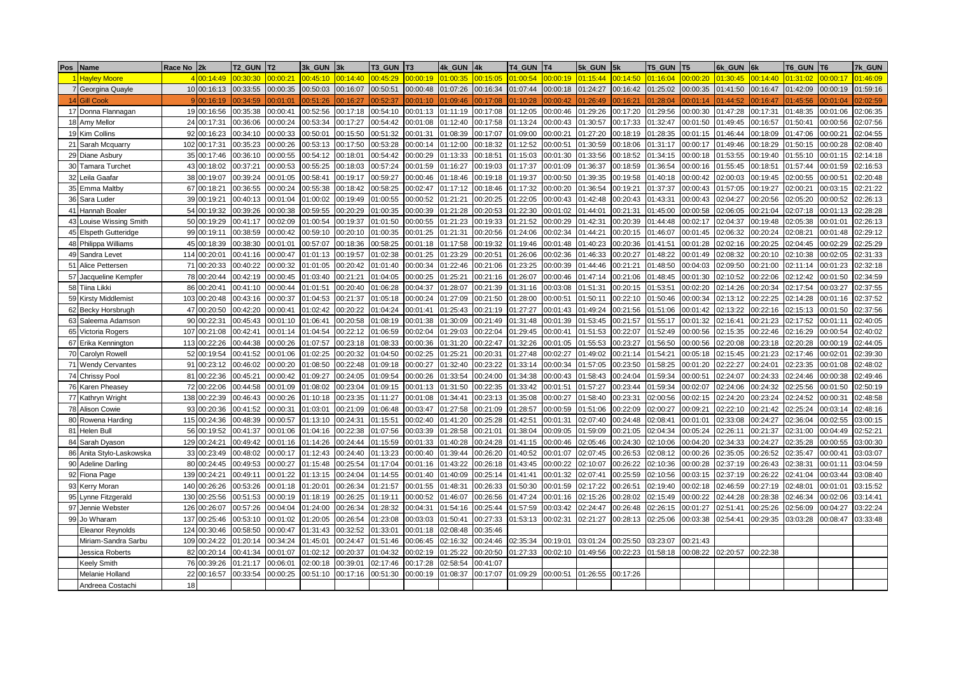| Pos<br>Name                         | Race No | 2k           | T <sub>2</sub> GUN | T <sub>2</sub> | 3k_GUN   | 3k       | T3_GUN   | T <sub>3</sub> | 4k GUN   | 4k       | T4 GUN   | T <sub>4</sub> | 5k_GUN   | 5k       | <b>T5 GUN</b> | T <sub>5</sub> | 6k GUN   | 6k       | T6 GUN   | <b>T6</b> | 7k_GUN   |
|-------------------------------------|---------|--------------|--------------------|----------------|----------|----------|----------|----------------|----------|----------|----------|----------------|----------|----------|---------------|----------------|----------|----------|----------|-----------|----------|
| <b>Hayley Moore</b>                 |         | 4 00:14:49   | 00:30:30           | 00:00:21       | 00:45:10 | 00:14:40 | 00:45:29 | 00:00:19       | 01:00:35 | 0:15:05  | 01:00:54 | 0.00:19        | 01:15:44 | 00:14:50 | 01:16:04      | 0.00:20        | 01:30:45 | 00:14:40 | 01:31:02 | 0:00:17   | 01:46:09 |
| Georgina Quayle                     |         | 10 00:16:13  | 00:33:55           | 00:00:35       | 00:50:03 | 00:16:07 | 00:50:51 | 00:00:48       | 01:07:26 | 00:16:34 | 01:07:44 | 00:00:18       | 01:24:27 | 00:16:42 | 01:25:02      | 00:00:35       | 01:41:50 | 00:16:47 | 01:42:09 | 00:00:19  | 01:59:16 |
| 14 Gill Cook                        |         | 9 00:16:19   | 00:34:59           | 00:01:01       | 00:51:26 | 00:16:27 | 0:52:37  | 0:01:10        | 01:09:46 | 0:17:08  | 1:10:28  | 0:00:42        | 1:26:49  | 0:16:21  | 01:28:04      | 0:01:14        | 01:44:52 | 00:16:47 | 1:45:56  | 0:01:04   | 2:02:59  |
| 17 Donna Flannagan                  |         | 19 00:16:56  | 00:35:38           | 00:00:41       | 00:52:56 | 00:17:18 | 00:54:10 | 00:01:13       | 01:11:19 | 00:17:08 | 01:12:05 | 00:00:46       | 01:29:26 | 00:17:20 | 01:29:56      | 00:00:30       | 01:47:28 | 00:17:31 | 01:48:35 | 0:01:06   | 02:06:35 |
| 18 Amy Mellor                       |         | 24 00:17:31  | 00:36:06           | 00:00:24       | 00:53:34 | 00:17:27 | 0:54:42  | 00:01:08       | 01:12:40 | 00:17:58 | 01:13:24 | 00:00:43       | 01:30:57 | 00:17:33 | 01:32:47      | 00:01:50       | 01:49:45 | 00:16:57 | 01:50:41 | 00:00:56  | 02:07:56 |
| 19 Kim Collins                      |         | 92 00:16:23  | 00:34:10           | 00:00:33       | 00:50:01 | 00:15:50 | 0:51:32  | 00:01:31       | 01:08:39 | 00:17:07 | 01:09:00 | 00:00:21       | 01:27:20 | 00:18:19 | 01:28:35      | 00:01:15       | 01:46:44 | 00:18:09 | 01:47:06 | 00:00:21  | 02:04:55 |
| 21 Sarah Mcquarry                   | 102     | 00:17:31     | 00:35:23           | 00:00:26       | 00:53:13 | 00:17:50 | 00:53:28 | 00:00:14       | 01:12:00 | 00:18:32 | 01:12:52 | 00:00:51       | 01:30:59 | 00:18:06 | 01:31:17      | 00:00:17       | 01:49:46 | 00:18:29 | 01:50:15 | 00:00:28  | 02:08:40 |
| 29<br>Diane Asbury                  |         | 35 00:17:46  | 00:36:10           | 00:00:55       | 00:54:12 | 00:18:01 | 0.54:42  | 00:00:29       | 01:13:33 | 00:18:51 | 01:15:03 | 00:01:30       | 01:33:56 | 00:18:52 | 01:34:15      | 00:00:18       | 01:53:55 | 00:19:40 | 01:55:10 | 0:01:15   | 02:14:18 |
| 30 <sup>1</sup><br>Tamara Turchet   |         | 43 00:18:02  | 00:37:21           | 00:00:53       | 00:55:25 | 00:18:03 | 00:57:24 | 00:01:59       | 01:16:27 | 00:19:03 | 01:17:37 | 00:01:09       | 01:36:37 | 00:18:59 | 01:36:54      | 00:00:16       | 01:55:45 | 00:18:51 | 01:57:44 | 00:01:59  | 02:16:53 |
| 32 <sub>1</sub><br>Leila Gaafar     |         | 38 00:19:07  | 00:39:24           | 00:01:05       | 00:58:41 | 00:19:17 | 00:59:27 | 00:00:46       | 01:18:46 | 00:19:18 | 01:19:37 | 00:00:50       | 01:39:35 | 00:19:58 | 01:40:18      | 00:00:42       | 02:00:03 | 00:19:45 | 02:00:55 | 00:00:51  | 02:20:48 |
| 35 Emma Maltby                      |         | 67 00:18:21  | 00:36:55           | 00:00:24       | 00:55:38 | 00:18:42 | 00:58:25 | 00:02:47       | 01:17:12 | 00:18:46 | 01:17:32 | 00:00:20       | 01:36:54 | 00:19:21 | 01:37:37      | 00:00:43       | 01:57:05 | 00:19:27 | 02:00:21 | 0:03:15   | 02:21:22 |
| 36 <sup>1</sup><br>Sara Luder       |         | 39 00:19:21  | 00:40:13           | 00:01:04       | 01:00:02 | 00:19:49 | 1:00:55  | 00:00:52       | 01:21:21 | 00:20:25 | 1:22:05  | 0:00:43        | 1:42:48  | 00:20:43 | 01:43:31      | 00:00:43       | 02:04:27 | 00:20:56 | 02:05:20 | 00:00:52  | 02:26:13 |
| 41<br>Hannah Boaler                 |         | 54 00:19:32  | 00:39:26           | 00:00:38       | 00:59:55 | 00:20:29 | 1:00:35  | 00:00:39       | 01:21:28 | 00:20:53 | 1:22:30  | 00:01:02       | 01:44:01 | 0:21:31  | 01:45:00      | 00:00:58       | 02:06:05 | 00:21:04 | 02:07:18 | 0:01:13   | 02:28:28 |
| ouise Wissing Smith<br>43           |         | 50 00:19:29  | 00:41:17           | 00:02:09       | 01:00:54 | 00:19:37 | 01:01:50 | 00:00:55       | 01:21:23 | 00:19:33 | 1:21:52  | 00:00:29       | 01:42:31 | 00:20:39 | 01:44:48      | 00:02:17       | 02:04:37 | 00:19:48 | 02:05:38 | 00:01:01  | 02:26:13 |
| 45 Elspeth Gutteridge               |         | 99 00:19:11  | 00:38:59           | 00:00:42       | 00:59:10 | 00:20:10 | 01:00:35 | 00:01:25       | 01:21:31 | 00:20:56 | 1:24:06  | 00:02:34       | 01:44:21 | 00:20:15 | 01:46:07      | 00:01:45       | 02:06:32 | 00:20:24 | 02:08:21 | 00:01:48  | 02:29:12 |
| 48 Philippa Williams                | 45      | 00:18:39     | 00:38:30           | 00:01:01       | 00:57:07 | 00:18:36 | 0:58:25  | 00:01:18       | 01:17:58 | 00:19:32 | 01:19:46 | 00:01:48       | 01:40:23 | 00:20:36 | 01:41:51      | 00:01:28       | 02:02:16 | 00:20:25 | 02:04:45 | 00:02:29  | 02:25:29 |
| 49 Sandra Levet                     |         | 114 00:20:01 | 00:41:16           | 00:00:47       | 01:01:13 | 00:19:57 | 02:38    | 00:01:25       | 01:23:29 | 00:20:51 | 01:26:06 | 00:02:36       | 01:46:33 | 00:20:27 | 01:48:22      | 00:01:49       | 02:08:32 | 00:20:10 | 02:10:38 | 00:02:05  | 02:31:33 |
| 51 Alice Pettersen                  | 71      | 00:20:33     | 00:40:22           | 00:00:32       | 01:01:05 | 00:20:42 | 1:01:40  | 00:00:34       | 01:22:46 | 0:21:06  | 1:23:25  | 00:00:39       | 01:44:46 | 0:21:21  | 01:48:50      | 00:04:03       | 02:09:50 | 00:21:00 | 02:11:14 | 0:01:23   | 02:32:18 |
| 57 Jacqueline Kempfer               |         | 78 00:20:44  | 00:42:19           | 00:00:45       | 01:03:40 | 00:21:21 | 01:04:05 | 00:00:25       | 01:25:21 | 0:21:16  | 1:26:07  | 00:00:46       | 01:47:14 | 00:21:06 | 01:48:45      | 00:01:30       | 02:10:52 | 00:22:06 | 02:12:42 | 0:01:50   | 02:34:59 |
| 58 Tiina Likki                      | 86      | 00:20:41     | 00:41:10           | 00:00:44       | 01:01:51 | 00:20:40 | 01:06:28 | 00:04:37       | 01:28:07 | 00:21:39 | 1:31:16  | 00:03:08       | 01:51:31 | 00:20:15 | 01:53:51      | 00:02:20       | 02:14:26 | 00:20:34 | 02:17:54 | 0:03:27   | 02:37:55 |
| 59 Kirsty Middlemist                |         | 103 00:20:48 | 00:43:16           | 00:00:37       | 01:04:53 | 00:21:37 | 01:05:18 | 00:00:24       | 01:27:09 | 00:21:50 | 01:28:00 | 00:00:51       | 01:50:11 | 00:22:10 | 01:50:46      | 00:00:34       | 02:13:12 | 00:22:25 | 02:14:28 | 00:01:16  | 02:37:52 |
| Becky Horsbrugh<br>62 <sub>1</sub>  |         | 47 00:20:50  | 00:42:20           | 00:00:41       | 01:02:42 | 00:20:22 | 1:04:24  | 0.01:4'        | 01:25:43 | 00:21:19 | 1:27:27  | 00:01:43       | 01:49:24 | 00:21:56 | 01:51:06      | 00:01:42       | 02:13:22 | 00:22:16 | 02:15:13 | 0:01:50   | 02:37:56 |
| 63<br>Saleema Adamson               |         | 90 00:22:31  | 00:45:43           | 00:01:10       | 01:06:41 | 00:20:58 | 1:08:19  | 00:01:38       | 01:30:09 | 0:21:49  | 1:31:48  | 0:01:39        | 01:53:45 | 00:21:57 | 01:55:17      | 00:01:32       | 02:16:41 | 00:21:23 | 02:17:52 | 0:01:11   | 02:40:05 |
| 65 Victoria Rogers                  | 107     | 00:21:08     | 00:42:41           | 00:01:14       | 01:04:54 | 00:22:12 | 1:06:59  | 00:02:04       | 01:29:03 | 00:22:04 | 1:29:45  | 00:00:41       | 01:51:53 | 0:22:07  | 01:52:49      | 00:00:56       | 02:15:35 | 00:22:46 | 02:16:29 | 0:00:54   | 02:40:02 |
| 67 Erika Kennington                 |         | 113 00:22:26 | 00:44:38           | 00:00:26       | 01:07:57 | 00:23:18 | 01:08:33 | 00:00:36       | 01:31:20 | 00:22:47 | 1:32:26  | 00:01:05       | 01:55:53 | 00:23:27 | 01:56:50      | 00:00:56       | 02:20:08 | 00:23:18 | 02:20:28 | 00:00:19  | 02:44:05 |
| 70 I<br>Carolyn Rowell              | 52      | 00:19:54     | 00:41:52           | 00:01:06       | 01:02:25 | 00:20:32 | 1:04:50  | 00:02:25       | 01:25:21 | 00:20:31 | 01:27:48 | 00:02:27       | 01:49:02 | 00:21:14 | 01:54:21      | 00:05:18       | 02:15:45 | 00:21:23 | 02:17:46 | 0:02:01   | 02:39:30 |
| 71<br><b>Wendy Cervantes</b>        | 91      | 00:23:12     | 00:46:02           | 00:00:20       | 01:08:50 | 00:22:48 | 1:09:18  | 00:00:27       | 01:32:40 | 00:23:22 | 1:33:14  | 00:00:34       | 01:57:05 | 0:23:50  | 01:58:25      | 00:01:20       | 02:22:27 | 00:24:01 | 02:23:35 | 00:01:08  | 02:48:02 |
| 74 Chrissy Pool                     |         | 81 00:22:36  | 00:45:21           | 00:00:42       | 01:09:27 | 00:24:05 | 1:09:54  | 00:00:26       | 01:33:54 | 00:24:00 | 01:34:38 | 00:00:43       | 01:58:43 | 00:24:04 | 01:59:34      | 00:00:51       | 02:24:07 | 00:24:33 | 02:24:46 | 00:00:38  | 02:49:46 |
| 76 Karen Pheasey                    | 72      | 00:22:06     | 00:44:58           | 00:01:09       | 01:08:02 | 00:23:04 | 1:09:15  | 00:01:13       | 01:31:50 | 00:22:35 | 1:33:42  | 00:01:51       | 01:57:27 | 00:23:44 | 01:59:34      | 00:02:07       | 02:24:06 | 00:24:32 | 02:25:56 | 0:01:50   | 02:50:19 |
| 77 Kathryn Wright                   |         | 138 00:22:39 | 00:46:43           | 00:00:26       | 01:10:18 | 00:23:35 | 01:11:27 | 00:01:08       | 01:34:41 | 00:23:13 | 01:35:08 | 00:00:27       | 01:58:40 | 00:23:31 | 02:00:56      | 00:02:15       | 02:24:20 | 00:23:24 | 02:24:52 | 00:00:31  | 02:48:58 |
| 78<br><b>Alison Cowie</b>           | 93      | 00:20:36     | 00:41:52           | 00:00:31       | 01:03:01 | 00:21:09 | 01:06:48 | 00:03:47       | 01:27:58 | 00:21:09 | 1:28:57  | 00:00:59       | 01:51:06 | 00:22:09 | 02:00:27      | 00:09:21       | 02:22:10 | 00:21:42 | 02:25:24 | 00:03:14  | 02:48:16 |
| Rowena Harding                      | 115     | 00:24:36     | 00:48:39           | 00:00:57       | 01:13:10 | 00:24:31 | 1:15:51  | 00:02:40       | 01:41:20 | 0:25:28  | 1:42:51  | 0:01:31        | 02:07:40 | 0:24:48  | 02:08:4       | 00:01:01       | 02:33:08 | 00:24:27 | 02:36:04 | 0:02:55   | 03:00:15 |
| Helen Bull<br>81                    | 56      | 00:19:52     | 00:41:37           | 00:01:06       | 01:04:16 | 00:22:38 | 1:07:56  | 00:03:39       | 01:28:58 | 0:21:01  | 1:38:04  | 0:09:05        | 01:59:09 | 0:21:05  | 02:04:34      | 00:05:24       | 02:26:11 | 00:21:37 | 02:31:00 | 0:04:49   | 02:52:21 |
| 84<br>Sarah Dyason                  |         | 129 00:24:21 | 00:49:42           | 00:01:16       | 01:14:26 | 00:24:44 | 1:15:59  | 00:01:33       | 01:40:28 | 0:24:28  | 1:41:15  | 0:00:46        | 02:05:46 | 0:24:30  | 02:10:06      | 00:04:20       | 02:34:33 | 00:24:27 | 02:35:28 | 0:00:55   | 03:00:30 |
| Anita Stylo-Laskowska<br>86         |         | 33 00:23:49  | 00:48:02           | 00:00:17       | 01:12:43 | 00:24:40 | 1:13:23  | 00:00:40       | 01:39:44 | 0:26:20  | 1:40:52  | 00:01:07       | 02:07:45 | 0:26:53  | 02:08:12      | 00:00:26       | 02:35:05 | 00:26:52 | 02:35:47 | 0:00:41   | 03:03:07 |
| 90 Adeline Darling                  |         | 80 00:24:45  | 00:49:53           | 00:00:27       | 01:15:48 | 00:25:54 | 01:17:04 | 00:01:16       | 01:43:22 | 00:26:18 | 01:43:45 | 00:00:22       | 02:10:07 | 00:26:22 | 02:10:36      | 00:00:28       | 02:37:19 | 00:26:43 | 02:38:31 | 0:01:11   | 03:04:59 |
| Fiona Page<br>92 <sub>1</sub>       | 139     | 00:24:21     | 00:49:11           | 00:01:22       | 01:13:15 | 00:24:04 | 01:14:55 | 00:01:40       | 01:40:09 | 00:25:14 | 01:41:41 | 00:01:32       | 02:07:41 | 0:25:59  | 02:10:56      | 00:03:15       | 02:37:19 | 00:26:22 | 02:41:04 | 0:03:44   | 03:08:40 |
| 93<br>Kerry Moran                   | 140     | 00:26:26     | 00:53:26           | 00:01:18       | 01:20:01 | 00:26:34 | 1:21:57  | 00:01:55       | 01:48:31 | 00:26:33 | 01:50:30 | 00:01:59       | 02:17:22 | 00:26:51 | 02:19:40      | 00:02:18       | 02:46:59 | 00:27:19 | 02:48:01 | 00:01:01  | 03:15:52 |
| 95 <sub>1</sub><br>Lynne Fitzgerald | 130     | 00:25:56     | 00:51:53           | 00:00:19       | 01:18:19 | 00:26:25 | 1:19:1   | 00:00:52       | 01:46:07 | 00:26:56 | 01:47:24 | 00:01:16       | 02:15:26 | 00:28:02 | 02:15:49      | 00:00:22       | 02:44:28 | 00:28:38 | 02:46:34 | 00:02:06  | 03:14:41 |
| 97<br>Jennie Webster                | 126     | 00:26:07     | 00:57:26           | 00:04:04       | 01:24:00 | 00:26:34 | 1:28:32  | 00:04:31       | 01:54:16 | 00:25:44 | 1:57:59  | 00:03:42       | 02:24:47 | 00:26:48 | 02:26:15      | 00:01:27       | 02:51:41 | 00:25:26 | 02:56:09 | 0:04:27   | 03:22:24 |
| 99 Jo Wharam                        | 137     | 00:25:46     | 00:53:10           | 00:01:02       | 01:20:05 | 00:26:54 | 01:23:08 | 00:03:03       | 01:50:41 | 00:27:33 | 1:53:13  | 00:02:31       | 02:21:27 | 00:28:13 | 02:25:06      | 00:03:38       | 02:54:41 | 00:29:35 | 03:03:28 | 00:08:47  | 03:33:48 |
| <b>Eleanor Reynolds</b>             | 124     | 00:30:46     | 00:58:50           | 00:00:47       | 01:31:43 | 00:32:52 | 01:33:01 | 00:01:18       | 02:08:48 | 00:35:46 |          |                |          |          |               |                |          |          |          |           |          |
| Miriam-Sandra Sarbu                 | 109     | 00:24:22     | 01:20:14           | 00:34:24       | 01:45:01 | 00:24:47 | 1:51:46  | 00:06:45       | 02:16:32 | 00:24:46 | 2:35:34  | 00:19:01       | 03:01:24 | 00:25:50 | 03:23:07      | 00:21:43       |          |          |          |           |          |
| Jessica Roberts                     | 82      | 00:20:14     | 00:41:34           | 00:01:07       | 01:02:12 | 00:20:37 | 1:04:32  | 00:02:19       | 01:25:22 | 0:20:50  | 1:27:33  | 0:02:10        | 01:49:56 | 0:22:23  | 01:58:18      | 00:08:22       | 02:20:57 | 00:22:38 |          |           |          |
| <b>Keely Smith</b>                  | 76      | 00:39:26     | 01:21:17           | 00:06:01       | 02:00:18 | 00:39:01 | 2:17:46  | 0:17:28        | 02:58:54 | 0:41:07  |          |                |          |          |               |                |          |          |          |           |          |
| Melanie Holland                     | 22      | 00:16:57     | 00:33:54           | 00:00:25       | 00:51:10 | 00:17:16 | 00:51:30 | 00:00:19       | 01:08:37 | 00:17:07 | 01:09:29 | 00:00:51       | 01:26:55 | 00:17:26 |               |                |          |          |          |           |          |
| Andreea Costach                     | 18      |              |                    |                |          |          |          |                |          |          |          |                |          |          |               |                |          |          |          |           |          |